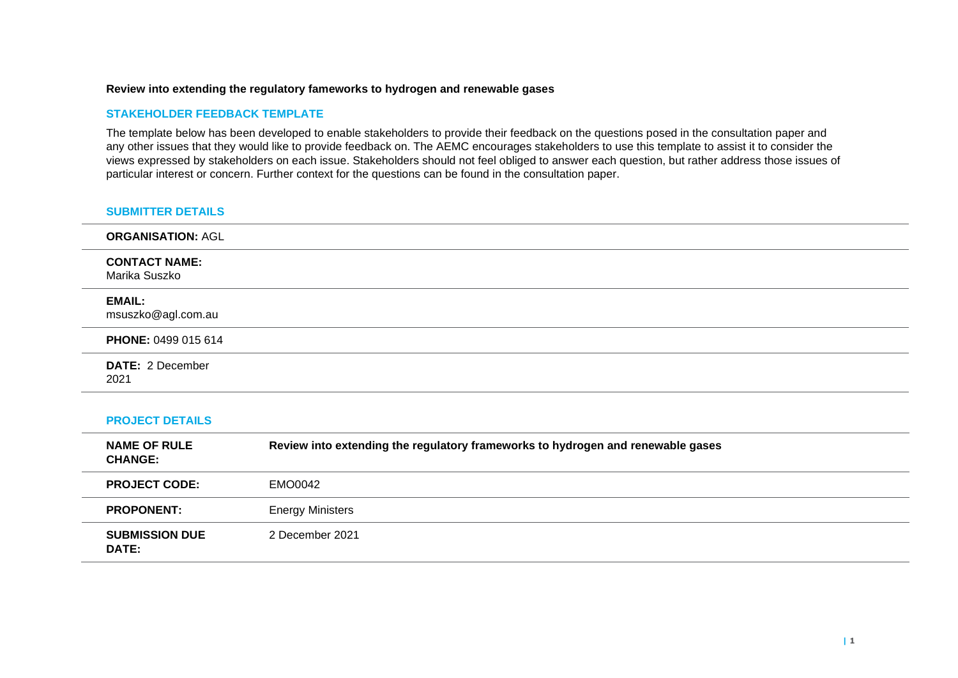#### **Review into extending the regulatory fameworks to hydrogen and renewable gases**

#### **STAKEHOLDER FEEDBACK TEMPLATE**

The template below has been developed to enable stakeholders to provide their feedback on the questions posed in the consultation paper and any other issues that they would like to provide feedback on. The AEMC encourages stakeholders to use this template to assist it to consider the views expressed by stakeholders on each issue. Stakeholders should not feel obliged to answer each question, but rather address those issues of particular interest or concern. Further context for the questions can be found in the consultation paper.

#### **SUBMITTER DETAILS**

| <b>ORGANISATION: AGL</b>              |
|---------------------------------------|
| <b>CONTACT NAME:</b><br>Marika Suszko |
| <b>EMAIL:</b><br>msuszko@agl.com.au   |
| PHONE: 0499 015 614                   |
| <b>DATE: 2 December</b><br>2021       |

#### **PROJECT DETAILS**

| <b>NAME OF RULE</b><br><b>CHANGE:</b> | Review into extending the regulatory frameworks to hydrogen and renewable gases |
|---------------------------------------|---------------------------------------------------------------------------------|
| <b>PROJECT CODE:</b>                  | EMO0042                                                                         |
| <b>PROPONENT:</b>                     | <b>Energy Ministers</b>                                                         |
| <b>SUBMISSION DUE</b><br><b>DATE:</b> | 2 December 2021                                                                 |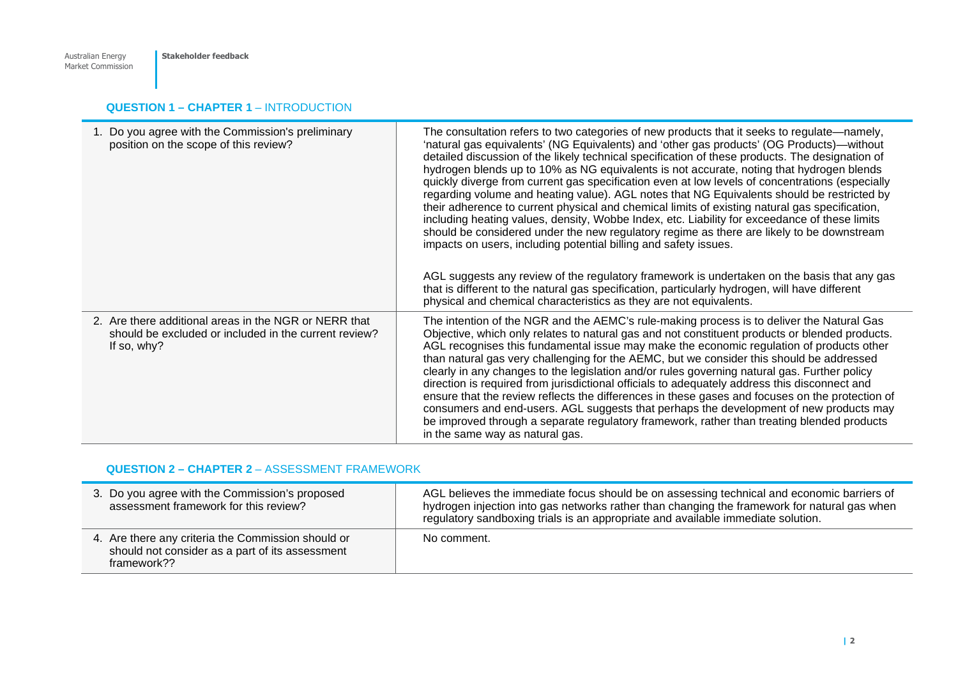# **QUESTION 1 – CHAPTER 1 – INTRODUCTION**

| 1. Do you agree with the Commission's preliminary<br>position on the scope of this review?                                    | The consultation refers to two categories of new products that it seeks to regulate—namely,<br>'natural gas equivalents' (NG Equivalents) and 'other gas products' (OG Products)—without<br>detailed discussion of the likely technical specification of these products. The designation of<br>hydrogen blends up to 10% as NG equivalents is not accurate, noting that hydrogen blends<br>quickly diverge from current gas specification even at low levels of concentrations (especially<br>regarding volume and heating value). AGL notes that NG Equivalents should be restricted by<br>their adherence to current physical and chemical limits of existing natural gas specification,<br>including heating values, density, Wobbe Index, etc. Liability for exceedance of these limits<br>should be considered under the new regulatory regime as there are likely to be downstream<br>impacts on users, including potential billing and safety issues.<br>AGL suggests any review of the regulatory framework is undertaken on the basis that any gas<br>that is different to the natural gas specification, particularly hydrogen, will have different<br>physical and chemical characteristics as they are not equivalents. |
|-------------------------------------------------------------------------------------------------------------------------------|-------------------------------------------------------------------------------------------------------------------------------------------------------------------------------------------------------------------------------------------------------------------------------------------------------------------------------------------------------------------------------------------------------------------------------------------------------------------------------------------------------------------------------------------------------------------------------------------------------------------------------------------------------------------------------------------------------------------------------------------------------------------------------------------------------------------------------------------------------------------------------------------------------------------------------------------------------------------------------------------------------------------------------------------------------------------------------------------------------------------------------------------------------------------------------------------------------------------------------------|
| 2. Are there additional areas in the NGR or NERR that<br>should be excluded or included in the current review?<br>If so, why? | The intention of the NGR and the AEMC's rule-making process is to deliver the Natural Gas<br>Objective, which only relates to natural gas and not constituent products or blended products.<br>AGL recognises this fundamental issue may make the economic regulation of products other<br>than natural gas very challenging for the AEMC, but we consider this should be addressed<br>clearly in any changes to the legislation and/or rules governing natural gas. Further policy<br>direction is required from jurisdictional officials to adequately address this disconnect and<br>ensure that the review reflects the differences in these gases and focuses on the protection of<br>consumers and end-users. AGL suggests that perhaps the development of new products may<br>be improved through a separate regulatory framework, rather than treating blended products<br>in the same way as natural gas.                                                                                                                                                                                                                                                                                                                  |

# **QUESTION 2 – CHAPTER 2** – ASSESSMENT FRAMEWORK

| 3. Do you agree with the Commission's proposed<br>assessment framework for this review?                              | AGL believes the immediate focus should be on assessing technical and economic barriers of<br>hydrogen injection into gas networks rather than changing the framework for natural gas when<br>regulatory sandboxing trials is an appropriate and available immediate solution. |
|----------------------------------------------------------------------------------------------------------------------|--------------------------------------------------------------------------------------------------------------------------------------------------------------------------------------------------------------------------------------------------------------------------------|
| 4. Are there any criteria the Commission should or<br>should not consider as a part of its assessment<br>framework?? | No comment.                                                                                                                                                                                                                                                                    |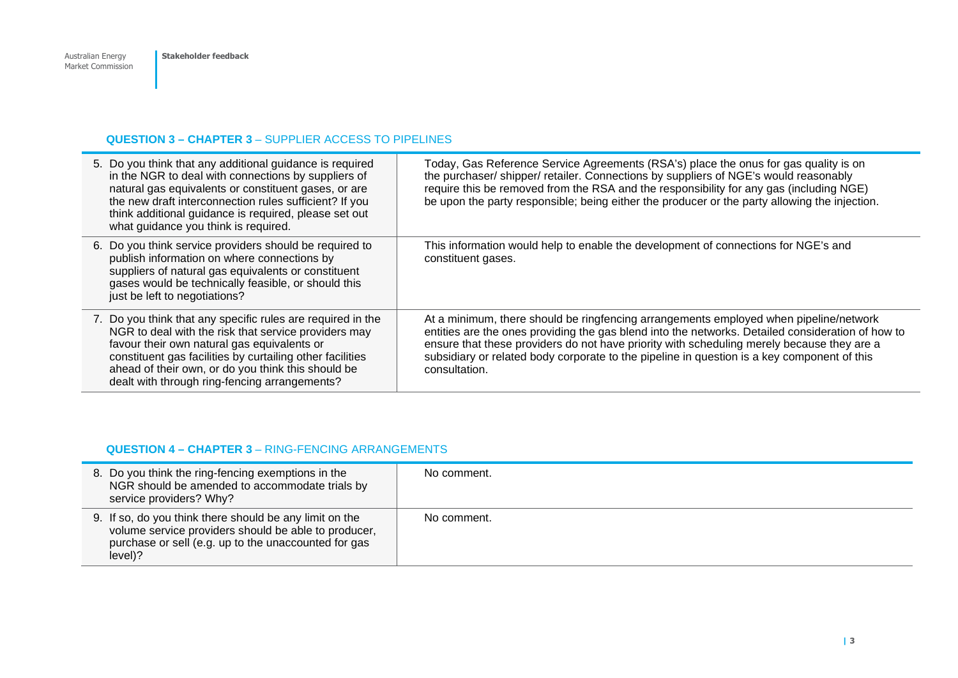#### **QUESTION 3 – CHAPTER 3** – SUPPLIER ACCESS TO PIPELINES

| 5. Do you think that any additional guidance is required<br>in the NGR to deal with connections by suppliers of<br>natural gas equivalents or constituent gases, or are<br>the new draft interconnection rules sufficient? If you<br>think additional guidance is required, please set out<br>what guidance you think is required.     | Today, Gas Reference Service Agreements (RSA's) place the onus for gas quality is on<br>the purchaser/shipper/retailer. Connections by suppliers of NGE's would reasonably<br>require this be removed from the RSA and the responsibility for any gas (including NGE)<br>be upon the party responsible; being either the producer or the party allowing the injection.                                   |
|----------------------------------------------------------------------------------------------------------------------------------------------------------------------------------------------------------------------------------------------------------------------------------------------------------------------------------------|----------------------------------------------------------------------------------------------------------------------------------------------------------------------------------------------------------------------------------------------------------------------------------------------------------------------------------------------------------------------------------------------------------|
| 6. Do you think service providers should be required to<br>publish information on where connections by<br>suppliers of natural gas equivalents or constituent<br>gases would be technically feasible, or should this<br>just be left to negotiations?                                                                                  | This information would help to enable the development of connections for NGE's and<br>constituent gases.                                                                                                                                                                                                                                                                                                 |
| 7. Do you think that any specific rules are required in the<br>NGR to deal with the risk that service providers may<br>favour their own natural gas equivalents or<br>constituent gas facilities by curtailing other facilities<br>ahead of their own, or do you think this should be<br>dealt with through ring-fencing arrangements? | At a minimum, there should be ringfencing arrangements employed when pipeline/network<br>entities are the ones providing the gas blend into the networks. Detailed consideration of how to<br>ensure that these providers do not have priority with scheduling merely because they are a<br>subsidiary or related body corporate to the pipeline in question is a key component of this<br>consultation. |

### **QUESTION 4 – CHAPTER 3** – RING-FENCING ARRANGEMENTS

| 8. Do you think the ring-fencing exemptions in the<br>NGR should be amended to accommodate trials by<br>service providers? Why?                                                    | No comment. |
|------------------------------------------------------------------------------------------------------------------------------------------------------------------------------------|-------------|
| 9. If so, do you think there should be any limit on the<br>volume service providers should be able to producer,<br>purchase or sell (e.g. up to the unaccounted for gas<br>level)? | No comment. |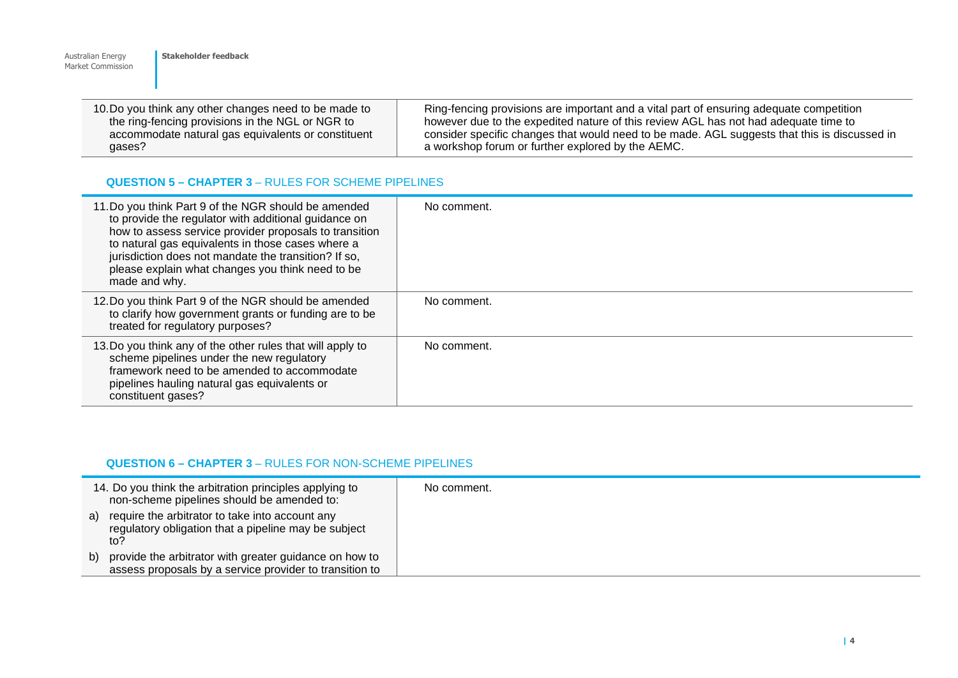| 10. Do you think any other changes need to be made to | Ring-fencing provisions are important and a vital part of ensuring adequate competition      |
|-------------------------------------------------------|----------------------------------------------------------------------------------------------|
| the ring-fencing provisions in the NGL or NGR to      | however due to the expedited nature of this review AGL has not had adequate time to          |
| accommodate natural gas equivalents or constituent    | consider specific changes that would need to be made. AGL suggests that this is discussed in |
| gases?                                                | a workshop forum or further explored by the AEMC.                                            |

### **QUESTION 5 – CHAPTER 3** – RULES FOR SCHEME PIPELINES

**Stakeholder feedback** 

Australian Energy Market Commission

| 11. Do you think Part 9 of the NGR should be amended<br>to provide the regulator with additional guidance on<br>how to assess service provider proposals to transition<br>to natural gas equivalents in those cases where a<br>jurisdiction does not mandate the transition? If so,<br>please explain what changes you think need to be<br>made and why. | No comment. |
|----------------------------------------------------------------------------------------------------------------------------------------------------------------------------------------------------------------------------------------------------------------------------------------------------------------------------------------------------------|-------------|
| 12. Do you think Part 9 of the NGR should be amended<br>to clarify how government grants or funding are to be<br>treated for regulatory purposes?                                                                                                                                                                                                        | No comment. |
| 13. Do you think any of the other rules that will apply to<br>scheme pipelines under the new regulatory<br>framework need to be amended to accommodate<br>pipelines hauling natural gas equivalents or<br>constituent gases?                                                                                                                             | No comment. |

### **QUESTION 6 – CHAPTER 3** – RULES FOR NON-SCHEME PIPELINES

|    | 14. Do you think the arbitration principles applying to<br>non-scheme pipelines should be amended to:                | No comment. |
|----|----------------------------------------------------------------------------------------------------------------------|-------------|
| a) | require the arbitrator to take into account any<br>regulatory obligation that a pipeline may be subject<br>to?       |             |
|    | b) provide the arbitrator with greater guidance on how to<br>assess proposals by a service provider to transition to |             |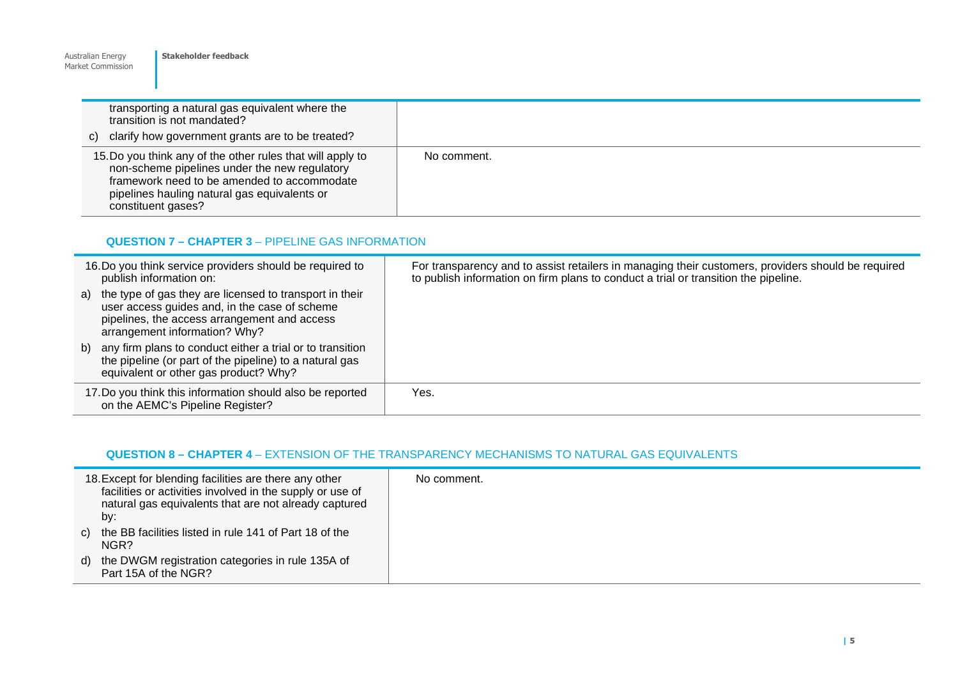| <b>Market Commission</b>                                                                                                                                                                                                         |             |
|----------------------------------------------------------------------------------------------------------------------------------------------------------------------------------------------------------------------------------|-------------|
| transporting a natural gas equivalent where the<br>transition is not mandated?<br>clarify how government grants are to be treated?<br>C)                                                                                         |             |
| 15. Do you think any of the other rules that will apply to<br>non-scheme pipelines under the new regulatory<br>framework need to be amended to accommodate<br>pipelines hauling natural gas equivalents or<br>constituent gases? | No comment. |

# **QUESTION 7 – CHAPTER 3 – PIPELINE GAS INFORMATION**

**Stakeholder feedback** 

Australian Energy

| 16. Do you think service providers should be required to<br>publish information on:                                                                                                          | For transparency and to assist retailers in managing their customers, providers should be required<br>to publish information on firm plans to conduct a trial or transition the pipeline. |
|----------------------------------------------------------------------------------------------------------------------------------------------------------------------------------------------|-------------------------------------------------------------------------------------------------------------------------------------------------------------------------------------------|
| a) the type of gas they are licensed to transport in their<br>user access guides and, in the case of scheme<br>pipelines, the access arrangement and access<br>arrangement information? Why? |                                                                                                                                                                                           |
| b) any firm plans to conduct either a trial or to transition<br>the pipeline (or part of the pipeline) to a natural gas<br>equivalent or other gas product? Why?                             |                                                                                                                                                                                           |
| 17. Do you think this information should also be reported<br>on the AEMC's Pipeline Register?                                                                                                | Yes.                                                                                                                                                                                      |

# **QUESTION 8 – CHAPTER 4** – EXTENSION OF THE TRANSPARENCY MECHANISMS TO NATURAL GAS EQUIVALENTS

| 18. Except for blending facilities are there any other<br>facilities or activities involved in the supply or use of<br>natural gas equivalents that are not already captured<br>by: | No comment. |
|-------------------------------------------------------------------------------------------------------------------------------------------------------------------------------------|-------------|
| c) the BB facilities listed in rule 141 of Part 18 of the<br>NGR?                                                                                                                   |             |
| d) the DWGM registration categories in rule 135A of<br>Part 15A of the NGR?                                                                                                         |             |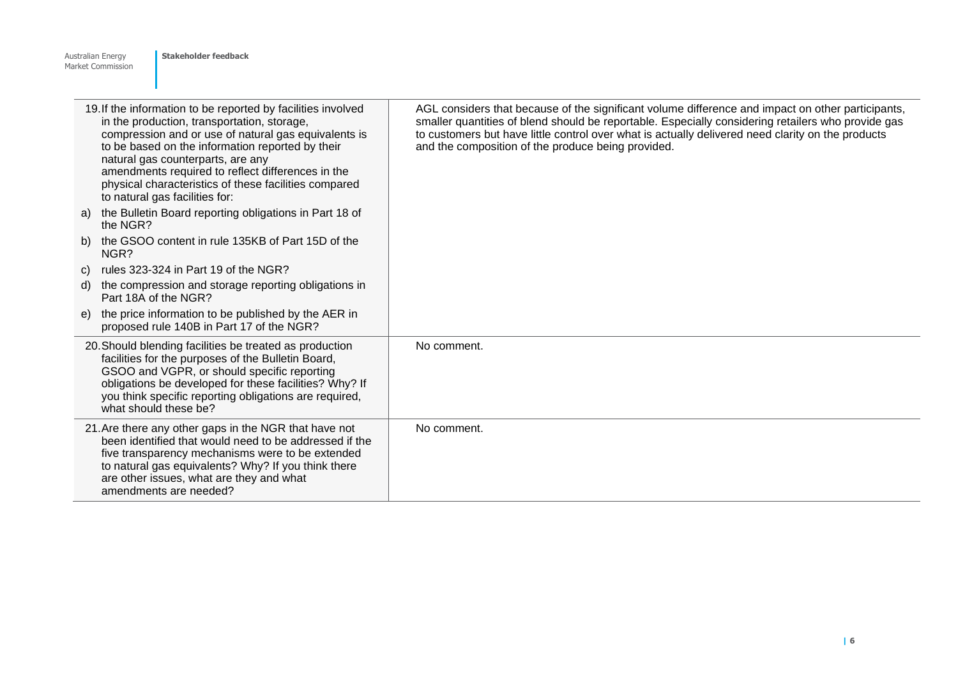|    | 19. If the information to be reported by facilities involved<br>in the production, transportation, storage,<br>compression and or use of natural gas equivalents is<br>to be based on the information reported by their<br>natural gas counterparts, are any<br>amendments required to reflect differences in the<br>physical characteristics of these facilities compared<br>to natural gas facilities for: | AGL considers that because of the significant volume difference and impact on other participants,<br>smaller quantities of blend should be reportable. Especially considering retailers who provide gas<br>to customers but have little control over what is actually delivered need clarity on the products<br>and the composition of the produce being provided. |
|----|--------------------------------------------------------------------------------------------------------------------------------------------------------------------------------------------------------------------------------------------------------------------------------------------------------------------------------------------------------------------------------------------------------------|--------------------------------------------------------------------------------------------------------------------------------------------------------------------------------------------------------------------------------------------------------------------------------------------------------------------------------------------------------------------|
| a) | the Bulletin Board reporting obligations in Part 18 of<br>the NGR?                                                                                                                                                                                                                                                                                                                                           |                                                                                                                                                                                                                                                                                                                                                                    |
| b) | the GSOO content in rule 135KB of Part 15D of the<br>NGR?                                                                                                                                                                                                                                                                                                                                                    |                                                                                                                                                                                                                                                                                                                                                                    |
| C) | rules 323-324 in Part 19 of the NGR?                                                                                                                                                                                                                                                                                                                                                                         |                                                                                                                                                                                                                                                                                                                                                                    |
| d) | the compression and storage reporting obligations in<br>Part 18A of the NGR?                                                                                                                                                                                                                                                                                                                                 |                                                                                                                                                                                                                                                                                                                                                                    |
| e) | the price information to be published by the AER in<br>proposed rule 140B in Part 17 of the NGR?                                                                                                                                                                                                                                                                                                             |                                                                                                                                                                                                                                                                                                                                                                    |
|    | 20. Should blending facilities be treated as production<br>facilities for the purposes of the Bulletin Board,<br>GSOO and VGPR, or should specific reporting<br>obligations be developed for these facilities? Why? If<br>you think specific reporting obligations are required,<br>what should these be?                                                                                                    | No comment.                                                                                                                                                                                                                                                                                                                                                        |
|    | 21. Are there any other gaps in the NGR that have not<br>been identified that would need to be addressed if the<br>five transparency mechanisms were to be extended<br>to natural gas equivalents? Why? If you think there<br>are other issues, what are they and what<br>amendments are needed?                                                                                                             | No comment.                                                                                                                                                                                                                                                                                                                                                        |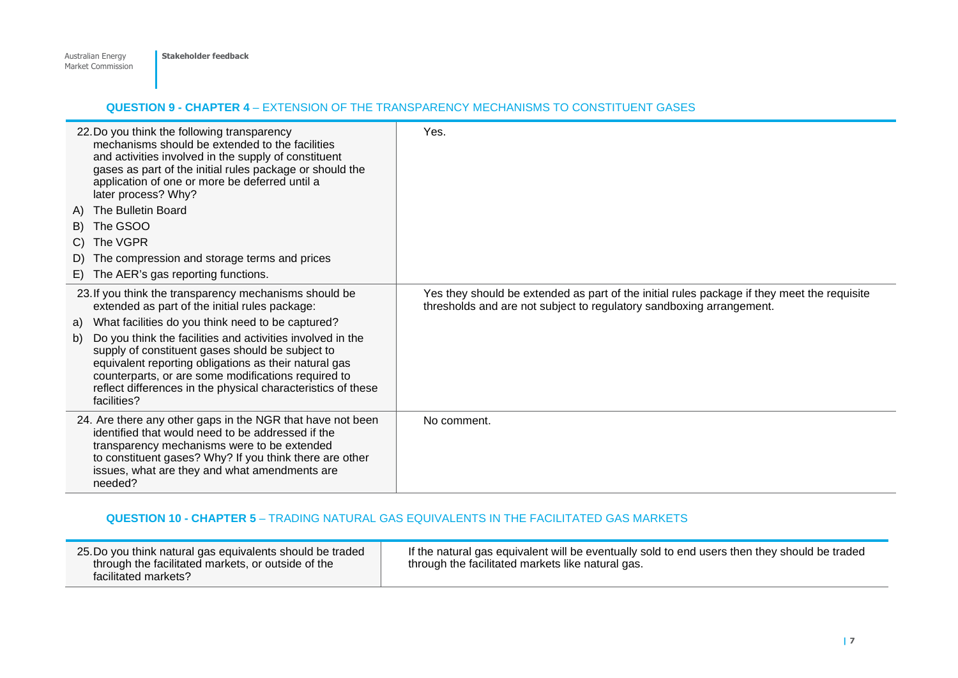#### **QUESTION 9 - CHAPTER 4** – EXTENSION OF THE TRANSPARENCY MECHANISMS TO CONSTITUENT GASES

| 22. Do you think the following transparency<br>mechanisms should be extended to the facilities<br>and activities involved in the supply of constituent<br>gases as part of the initial rules package or should the<br>application of one or more be deferred until a<br>later process? Why?                         | Yes.                                                                                                                                                                |
|---------------------------------------------------------------------------------------------------------------------------------------------------------------------------------------------------------------------------------------------------------------------------------------------------------------------|---------------------------------------------------------------------------------------------------------------------------------------------------------------------|
| The Bulletin Board<br>A)                                                                                                                                                                                                                                                                                            |                                                                                                                                                                     |
| The GSOO<br>B)                                                                                                                                                                                                                                                                                                      |                                                                                                                                                                     |
| The VGPR<br>C)                                                                                                                                                                                                                                                                                                      |                                                                                                                                                                     |
| The compression and storage terms and prices<br>D)                                                                                                                                                                                                                                                                  |                                                                                                                                                                     |
| E) The AER's gas reporting functions.                                                                                                                                                                                                                                                                               |                                                                                                                                                                     |
| 23. If you think the transparency mechanisms should be<br>extended as part of the initial rules package:                                                                                                                                                                                                            | Yes they should be extended as part of the initial rules package if they meet the requisite<br>thresholds and are not subject to regulatory sandboxing arrangement. |
| a) What facilities do you think need to be captured?                                                                                                                                                                                                                                                                |                                                                                                                                                                     |
| Do you think the facilities and activities involved in the<br>b)<br>supply of constituent gases should be subject to<br>equivalent reporting obligations as their natural gas<br>counterparts, or are some modifications required to<br>reflect differences in the physical characteristics of these<br>facilities? |                                                                                                                                                                     |
| 24. Are there any other gaps in the NGR that have not been<br>identified that would need to be addressed if the<br>transparency mechanisms were to be extended<br>to constituent gases? Why? If you think there are other<br>issues, what are they and what amendments are<br>needed?                               | No comment.                                                                                                                                                         |

### **QUESTION 10 - CHAPTER 5** – TRADING NATURAL GAS EQUIVALENTS IN THE FACILITATED GAS MARKETS

| 25. Do you think natural gas equivalents should be traded<br>through the facilitated markets, or outside of the<br>facilitated markets? | If the natural gas equivalent will be eventually sold to end users then they should be traded<br>through the facilitated markets like natural gas. |
|-----------------------------------------------------------------------------------------------------------------------------------------|----------------------------------------------------------------------------------------------------------------------------------------------------|
|-----------------------------------------------------------------------------------------------------------------------------------------|----------------------------------------------------------------------------------------------------------------------------------------------------|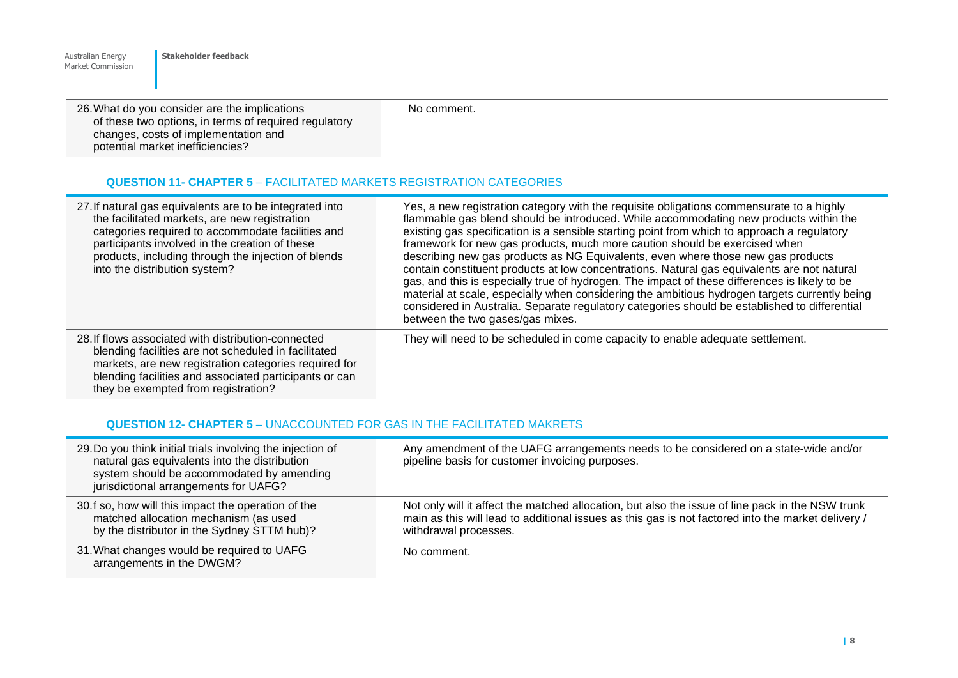| Australian Energy<br>Market Commission | Stakeholder feedback                                                                                                                                                               |             |  |
|----------------------------------------|------------------------------------------------------------------------------------------------------------------------------------------------------------------------------------|-------------|--|
|                                        | 26. What do you consider are the implications<br>of these two options, in terms of required regulatory<br>changes, costs of implementation and<br>potential market inefficiencies? | No comment. |  |

### **QUESTION 11- CHAPTER 5** – FACILITATED MARKETS REGISTRATION CATEGORIES

| 27. If natural gas equivalents are to be integrated into<br>the facilitated markets, are new registration<br>categories required to accommodate facilities and<br>participants involved in the creation of these<br>products, including through the injection of blends<br>into the distribution system? | Yes, a new registration category with the requisite obligations commensurate to a highly<br>flammable gas blend should be introduced. While accommodating new products within the<br>existing gas specification is a sensible starting point from which to approach a regulatory<br>framework for new gas products, much more caution should be exercised when<br>describing new gas products as NG Equivalents, even where those new gas products<br>contain constituent products at low concentrations. Natural gas equivalents are not natural<br>gas, and this is especially true of hydrogen. The impact of these differences is likely to be<br>material at scale, especially when considering the ambitious hydrogen targets currently being<br>considered in Australia. Separate regulatory categories should be established to differential<br>between the two gases/gas mixes. |
|----------------------------------------------------------------------------------------------------------------------------------------------------------------------------------------------------------------------------------------------------------------------------------------------------------|------------------------------------------------------------------------------------------------------------------------------------------------------------------------------------------------------------------------------------------------------------------------------------------------------------------------------------------------------------------------------------------------------------------------------------------------------------------------------------------------------------------------------------------------------------------------------------------------------------------------------------------------------------------------------------------------------------------------------------------------------------------------------------------------------------------------------------------------------------------------------------------|
| 28. If flows associated with distribution-connected<br>blending facilities are not scheduled in facilitated<br>markets, are new registration categories required for<br>blending facilities and associated participants or can<br>they be exempted from registration?                                    | They will need to be scheduled in come capacity to enable adequate settlement.                                                                                                                                                                                                                                                                                                                                                                                                                                                                                                                                                                                                                                                                                                                                                                                                           |

# **QUESTION 12- CHAPTER 5** – UNACCOUNTED FOR GAS IN THE FACILITATED MAKRETS

| 29. Do you think initial trials involving the injection of<br>natural gas equivalents into the distribution<br>system should be accommodated by amending<br>jurisdictional arrangements for UAFG? | Any amendment of the UAFG arrangements needs to be considered on a state-wide and/or<br>pipeline basis for customer invoicing purposes.                                                                                         |
|---------------------------------------------------------------------------------------------------------------------------------------------------------------------------------------------------|---------------------------------------------------------------------------------------------------------------------------------------------------------------------------------------------------------------------------------|
| 30.f so, how will this impact the operation of the<br>matched allocation mechanism (as used<br>by the distributor in the Sydney STTM hub)?                                                        | Not only will it affect the matched allocation, but also the issue of line pack in the NSW trunk<br>main as this will lead to additional issues as this gas is not factored into the market delivery /<br>withdrawal processes. |
| 31. What changes would be required to UAFG<br>arrangements in the DWGM?                                                                                                                           | No comment.                                                                                                                                                                                                                     |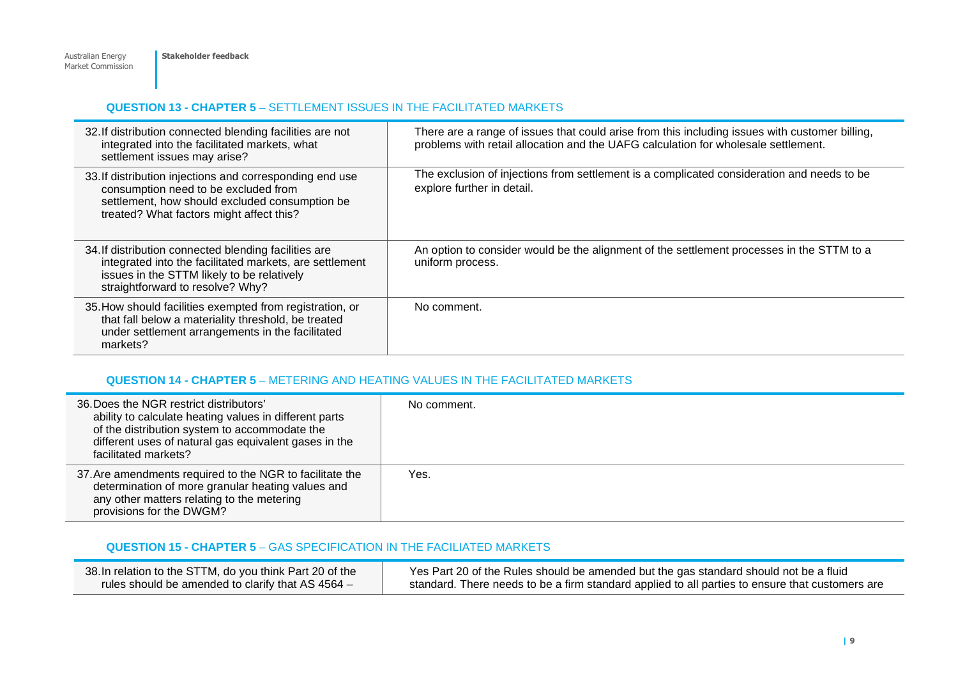# **QUESTION 13 - CHAPTER 5** – SETTLEMENT ISSUES IN THE FACILITATED MARKETS

| 32. If distribution connected blending facilities are not<br>integrated into the facilitated markets, what<br>settlement issues may arise?                                                         | There are a range of issues that could arise from this including issues with customer billing,<br>problems with retail allocation and the UAFG calculation for wholesale settlement. |
|----------------------------------------------------------------------------------------------------------------------------------------------------------------------------------------------------|--------------------------------------------------------------------------------------------------------------------------------------------------------------------------------------|
| 33. If distribution injections and corresponding end use<br>consumption need to be excluded from<br>settlement, how should excluded consumption be<br>treated? What factors might affect this?     | The exclusion of injections from settlement is a complicated consideration and needs to be<br>explore further in detail.                                                             |
| 34. If distribution connected blending facilities are<br>integrated into the facilitated markets, are settlement<br>issues in the STTM likely to be relatively<br>straightforward to resolve? Why? | An option to consider would be the alignment of the settlement processes in the STTM to a<br>uniform process.                                                                        |
| 35. How should facilities exempted from registration, or<br>that fall below a materiality threshold, be treated<br>under settlement arrangements in the facilitated<br>markets?                    | No comment.                                                                                                                                                                          |

# **QUESTION 14 - CHAPTER 5** – METERING AND HEATING VALUES IN THE FACILITATED MARKETS

| 36. Does the NGR restrict distributors'<br>ability to calculate heating values in different parts<br>of the distribution system to accommodate the<br>different uses of natural gas equivalent gases in the<br>facilitated markets? | No comment. |
|-------------------------------------------------------------------------------------------------------------------------------------------------------------------------------------------------------------------------------------|-------------|
| 37. Are amendments required to the NGR to facilitate the<br>determination of more granular heating values and<br>any other matters relating to the metering<br>provisions for the DWGM?                                             | Yes.        |

# **QUESTION 15 - CHAPTER 5** – GAS SPECIFICATION IN THE FACILIATED MARKETS

| 38. In relation to the STTM, do you think Part 20 of the | Yes Part 20 of the Rules should be amended but the gas standard should not be a fluid           |
|----------------------------------------------------------|-------------------------------------------------------------------------------------------------|
| rules should be amended to clarify that AS $4564 -$      | standard. There needs to be a firm standard applied to all parties to ensure that customers are |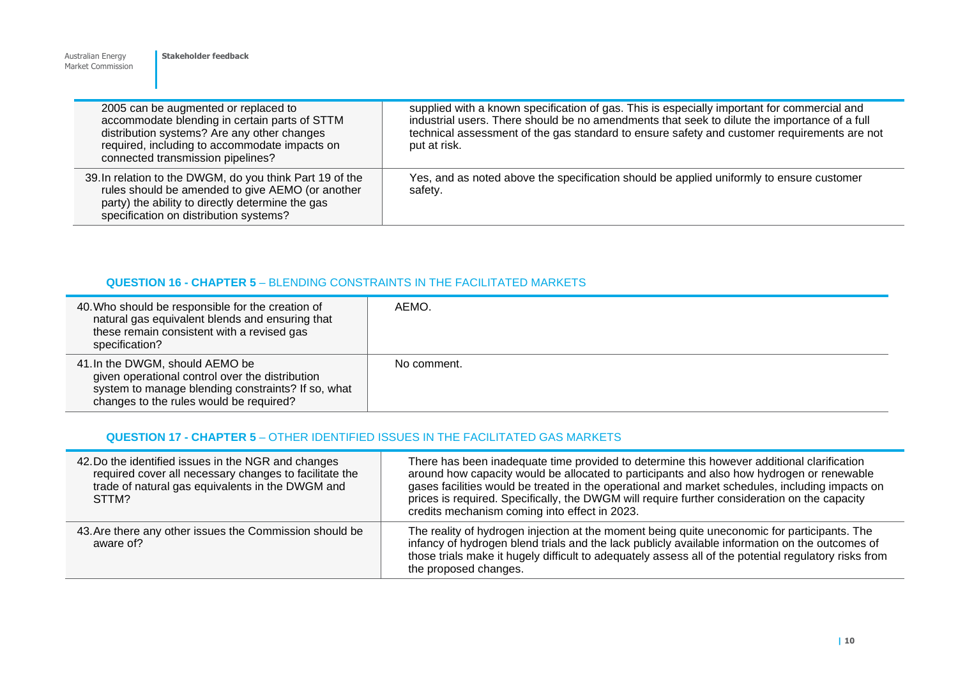| Market Commission                                                                                                                                                                                                          |                                                                                                                                                                                                                                                                                                            |
|----------------------------------------------------------------------------------------------------------------------------------------------------------------------------------------------------------------------------|------------------------------------------------------------------------------------------------------------------------------------------------------------------------------------------------------------------------------------------------------------------------------------------------------------|
| 2005 can be augmented or replaced to<br>accommodate blending in certain parts of STTM<br>distribution systems? Are any other changes<br>required, including to accommodate impacts on<br>connected transmission pipelines? | supplied with a known specification of gas. This is especially important for commercial and<br>industrial users. There should be no amendments that seek to dilute the importance of a full<br>technical assessment of the gas standard to ensure safety and customer requirements are not<br>put at risk. |
| 39. In relation to the DWGM, do you think Part 19 of the<br>rules should be amended to give AEMO (or another<br>party) the ability to directly determine the gas<br>specification on distribution systems?                 | Yes, and as noted above the specification should be applied uniformly to ensure customer<br>safety.                                                                                                                                                                                                        |

#### **QUESTION 16 - CHAPTER 5** – BLENDING CONSTRAINTS IN THE FACILITATED MARKETS

Australian Energy

**Stakeholder feedback** 

| 40. Who should be responsible for the creation of<br>natural gas equivalent blends and ensuring that<br>these remain consistent with a revised gas<br>specification?                | AEMO.       |
|-------------------------------------------------------------------------------------------------------------------------------------------------------------------------------------|-------------|
| 41. In the DWGM, should AEMO be<br>given operational control over the distribution<br>system to manage blending constraints? If so, what<br>changes to the rules would be required? | No comment. |

# **QUESTION 17 - CHAPTER 5** – OTHER IDENTIFIED ISSUES IN THE FACILITATED GAS MARKETS

| 42. Do the identified issues in the NGR and changes<br>required cover all necessary changes to facilitate the<br>trade of natural gas equivalents in the DWGM and<br>STTM? | There has been inadequate time provided to determine this however additional clarification<br>around how capacity would be allocated to participants and also how hydrogen or renewable<br>gases facilities would be treated in the operational and market schedules, including impacts on<br>prices is required. Specifically, the DWGM will require further consideration on the capacity<br>credits mechanism coming into effect in 2023. |
|----------------------------------------------------------------------------------------------------------------------------------------------------------------------------|----------------------------------------------------------------------------------------------------------------------------------------------------------------------------------------------------------------------------------------------------------------------------------------------------------------------------------------------------------------------------------------------------------------------------------------------|
| 43. Are there any other issues the Commission should be<br>aware of?                                                                                                       | The reality of hydrogen injection at the moment being quite uneconomic for participants. The<br>infancy of hydrogen blend trials and the lack publicly available information on the outcomes of<br>those trials make it hugely difficult to adequately assess all of the potential regulatory risks from<br>the proposed changes.                                                                                                            |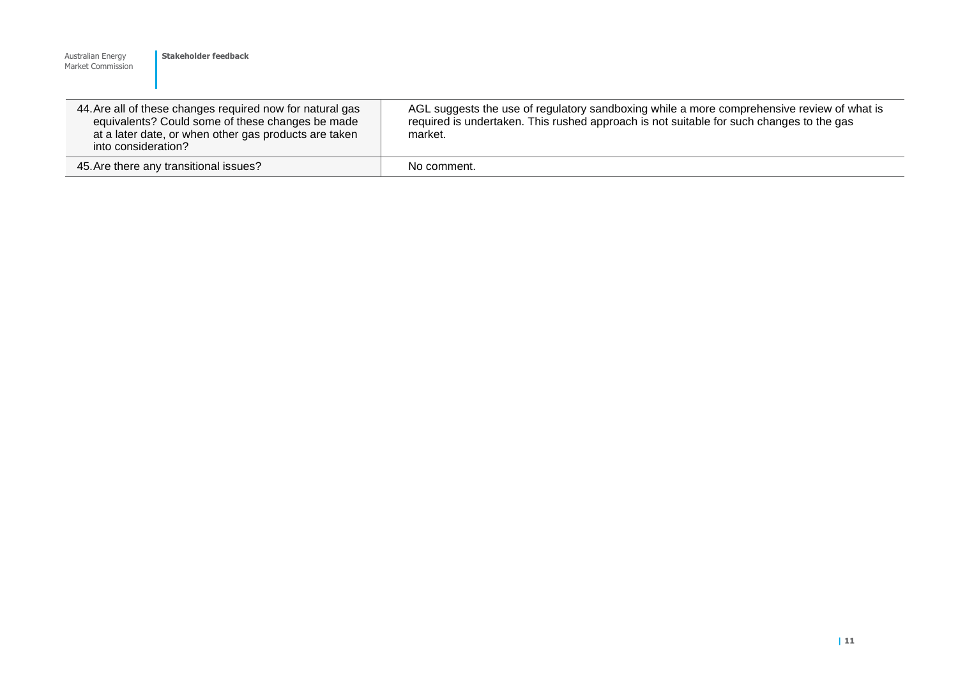| Australian Energy<br>Market Commission                                                                                                                                                        | Stakeholder feedback |                                                                                                                                                                                                   |
|-----------------------------------------------------------------------------------------------------------------------------------------------------------------------------------------------|----------------------|---------------------------------------------------------------------------------------------------------------------------------------------------------------------------------------------------|
| 44. Are all of these changes required now for natural gas<br>equivalents? Could some of these changes be made<br>at a later date, or when other gas products are taken<br>into consideration? |                      | AGL suggests the use of regulatory sandboxing while a more comprehensive review of what is<br>required is undertaken. This rushed approach is not suitable for such changes to the gas<br>market. |
| 45. Are there any transitional issues?                                                                                                                                                        |                      | No comment.                                                                                                                                                                                       |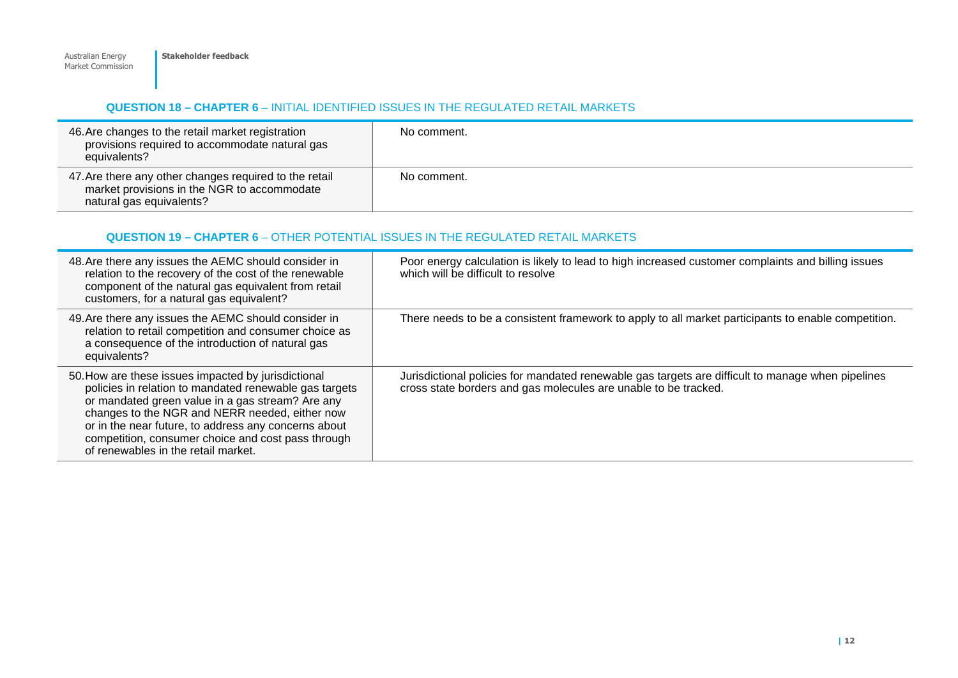# **QUESTION 18 – CHAPTER 6** – INITIAL IDENTIFIED ISSUES IN THE REGULATED RETAIL MARKETS

| 46. Are changes to the retail market registration<br>provisions required to accommodate natural gas<br>equivalents?               | No comment. |
|-----------------------------------------------------------------------------------------------------------------------------------|-------------|
| 47. Are there any other changes required to the retail<br>market provisions in the NGR to accommodate<br>natural gas equivalents? | No comment. |

# **QUESTION 19 – CHAPTER 6** – OTHER POTENTIAL ISSUES IN THE REGULATED RETAIL MARKETS

| 48. Are there any issues the AEMC should consider in<br>relation to the recovery of the cost of the renewable<br>component of the natural gas equivalent from retail<br>customers, for a natural gas equivalent?                                                                                                                                                         | Poor energy calculation is likely to lead to high increased customer complaints and billing issues<br>which will be difficult to resolve                             |
|--------------------------------------------------------------------------------------------------------------------------------------------------------------------------------------------------------------------------------------------------------------------------------------------------------------------------------------------------------------------------|----------------------------------------------------------------------------------------------------------------------------------------------------------------------|
| 49. Are there any issues the AEMC should consider in<br>relation to retail competition and consumer choice as<br>a consequence of the introduction of natural gas<br>equivalents?                                                                                                                                                                                        | There needs to be a consistent framework to apply to all market participants to enable competition.                                                                  |
| 50. How are these issues impacted by jurisdictional<br>policies in relation to mandated renewable gas targets<br>or mandated green value in a gas stream? Are any<br>changes to the NGR and NERR needed, either now<br>or in the near future, to address any concerns about<br>competition, consumer choice and cost pass through<br>of renewables in the retail market. | Jurisdictional policies for mandated renewable gas targets are difficult to manage when pipelines<br>cross state borders and gas molecules are unable to be tracked. |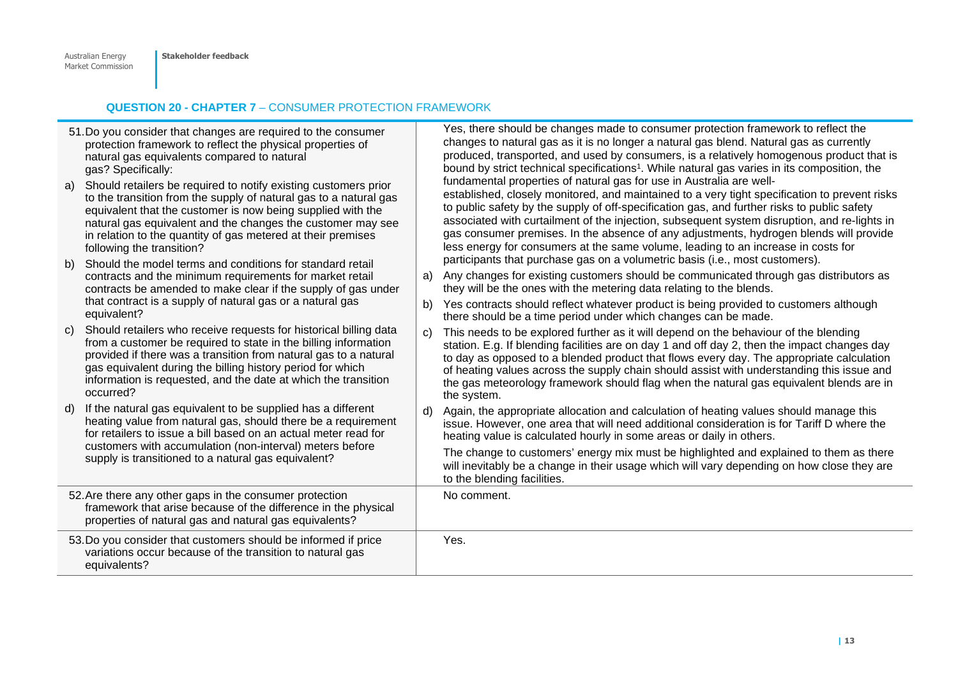# **QUESTION 20 - CHAPTER 7** – CONSUMER PROTECTION FRAMEWORK

| a) | 51. Do you consider that changes are required to the consumer<br>protection framework to reflect the physical properties of<br>natural gas equivalents compared to natural<br>gas? Specifically:<br>Should retailers be required to notify existing customers prior<br>to the transition from the supply of natural gas to a natural gas<br>equivalent that the customer is now being supplied with the<br>natural gas equivalent and the changes the customer may see<br>in relation to the quantity of gas metered at their premises<br>following the transition? |              | Yes, there should be changes made to consumer protection framework to reflect the<br>changes to natural gas as it is no longer a natural gas blend. Natural gas as currently<br>produced, transported, and used by consumers, is a relatively homogenous product that is<br>bound by strict technical specifications <sup>1</sup> . While natural gas varies in its composition, the<br>fundamental properties of natural gas for use in Australia are well-<br>established, closely monitored, and maintained to a very tight specification to prevent risks<br>to public safety by the supply of off-specification gas, and further risks to public safety<br>associated with curtailment of the injection, subsequent system disruption, and re-lights in<br>gas consumer premises. In the absence of any adjustments, hydrogen blends will provide<br>less energy for consumers at the same volume, leading to an increase in costs for |
|----|---------------------------------------------------------------------------------------------------------------------------------------------------------------------------------------------------------------------------------------------------------------------------------------------------------------------------------------------------------------------------------------------------------------------------------------------------------------------------------------------------------------------------------------------------------------------|--------------|---------------------------------------------------------------------------------------------------------------------------------------------------------------------------------------------------------------------------------------------------------------------------------------------------------------------------------------------------------------------------------------------------------------------------------------------------------------------------------------------------------------------------------------------------------------------------------------------------------------------------------------------------------------------------------------------------------------------------------------------------------------------------------------------------------------------------------------------------------------------------------------------------------------------------------------------|
| b) | Should the model terms and conditions for standard retail<br>contracts and the minimum requirements for market retail<br>contracts be amended to make clear if the supply of gas under<br>that contract is a supply of natural gas or a natural gas                                                                                                                                                                                                                                                                                                                 | a)<br>b)     | participants that purchase gas on a volumetric basis (i.e., most customers).<br>Any changes for existing customers should be communicated through gas distributors as<br>they will be the ones with the metering data relating to the blends.<br>Yes contracts should reflect whatever product is being provided to customers although                                                                                                                                                                                                                                                                                                                                                                                                                                                                                                                                                                                                      |
| C) | equivalent?<br>Should retailers who receive requests for historical billing data<br>from a customer be required to state in the billing information<br>provided if there was a transition from natural gas to a natural<br>gas equivalent during the billing history period for which<br>information is requested, and the date at which the transition<br>occurred?                                                                                                                                                                                                | C)           | there should be a time period under which changes can be made.<br>This needs to be explored further as it will depend on the behaviour of the blending<br>station. E.g. If blending facilities are on day 1 and off day 2, then the impact changes day<br>to day as opposed to a blended product that flows every day. The appropriate calculation<br>of heating values across the supply chain should assist with understanding this issue and<br>the gas meteorology framework should flag when the natural gas equivalent blends are in<br>the system.                                                                                                                                                                                                                                                                                                                                                                                   |
| d) | If the natural gas equivalent to be supplied has a different<br>heating value from natural gas, should there be a requirement<br>for retailers to issue a bill based on an actual meter read for                                                                                                                                                                                                                                                                                                                                                                    | $\mathsf{d}$ | Again, the appropriate allocation and calculation of heating values should manage this<br>issue. However, one area that will need additional consideration is for Tariff D where the<br>heating value is calculated hourly in some areas or daily in others.                                                                                                                                                                                                                                                                                                                                                                                                                                                                                                                                                                                                                                                                                |
|    | customers with accumulation (non-interval) meters before<br>supply is transitioned to a natural gas equivalent?                                                                                                                                                                                                                                                                                                                                                                                                                                                     |              | The change to customers' energy mix must be highlighted and explained to them as there<br>will inevitably be a change in their usage which will vary depending on how close they are<br>to the blending facilities.                                                                                                                                                                                                                                                                                                                                                                                                                                                                                                                                                                                                                                                                                                                         |
|    | 52. Are there any other gaps in the consumer protection<br>framework that arise because of the difference in the physical<br>properties of natural gas and natural gas equivalents?                                                                                                                                                                                                                                                                                                                                                                                 |              | No comment.                                                                                                                                                                                                                                                                                                                                                                                                                                                                                                                                                                                                                                                                                                                                                                                                                                                                                                                                 |
|    | 53. Do you consider that customers should be informed if price<br>variations occur because of the transition to natural gas<br>equivalents?                                                                                                                                                                                                                                                                                                                                                                                                                         |              | Yes.                                                                                                                                                                                                                                                                                                                                                                                                                                                                                                                                                                                                                                                                                                                                                                                                                                                                                                                                        |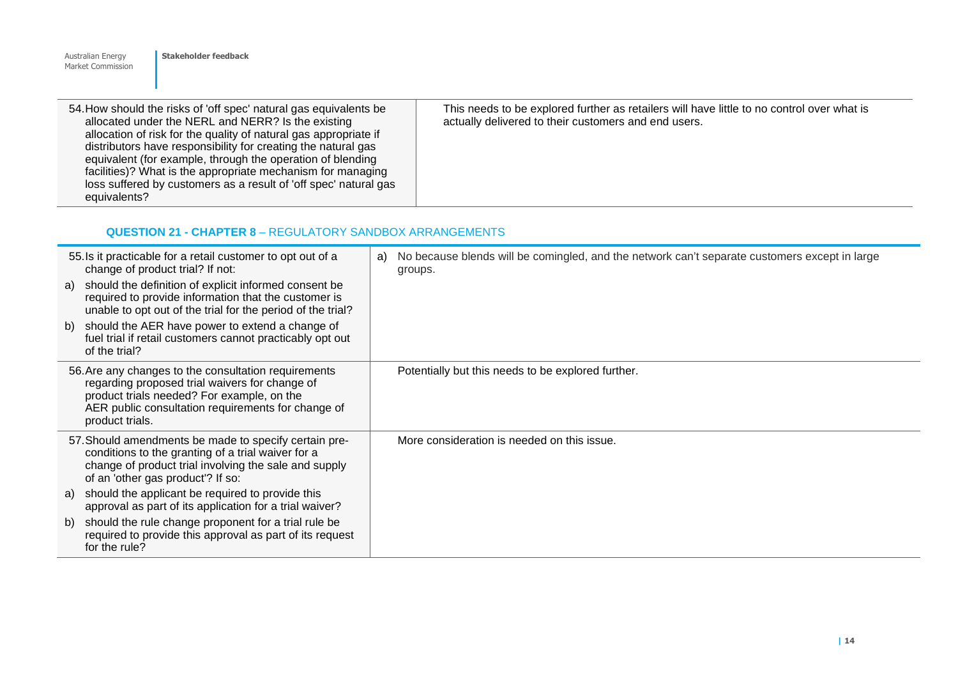| <b>Australian Energy</b><br>Market Commission | Stakeholder feedback                                                                                                                                                                                                                                                                                                                                                                                                                                          |                                                                                                                                                    |
|-----------------------------------------------|---------------------------------------------------------------------------------------------------------------------------------------------------------------------------------------------------------------------------------------------------------------------------------------------------------------------------------------------------------------------------------------------------------------------------------------------------------------|----------------------------------------------------------------------------------------------------------------------------------------------------|
| equivalents?                                  | 54. How should the risks of 'off spec' natural gas equivalents be<br>allocated under the NERL and NERR? Is the existing<br>allocation of risk for the quality of natural gas appropriate if<br>distributors have responsibility for creating the natural gas<br>equivalent (for example, through the operation of blending<br>facilities)? What is the appropriate mechanism for managing<br>loss suffered by customers as a result of 'off spec' natural gas | This needs to be explored further as retailers will have little to no control over what is<br>actually delivered to their customers and end users. |

# **QUESTION 21 - CHAPTER 8** – REGULATORY SANDBOX ARRANGEMENTS

| 55. Is it practicable for a retail customer to opt out of a<br>change of product trial? If not:                                                                                                                               | No because blends will be comingled, and the network can't separate customers except in large<br>a)<br>groups. |
|-------------------------------------------------------------------------------------------------------------------------------------------------------------------------------------------------------------------------------|----------------------------------------------------------------------------------------------------------------|
| should the definition of explicit informed consent be<br>a)<br>required to provide information that the customer is<br>unable to opt out of the trial for the period of the trial?                                            |                                                                                                                |
| should the AER have power to extend a change of<br>b)<br>fuel trial if retail customers cannot practicably opt out<br>of the trial?                                                                                           |                                                                                                                |
| 56. Are any changes to the consultation requirements<br>regarding proposed trial waivers for change of<br>product trials needed? For example, on the<br>AER public consultation requirements for change of<br>product trials. | Potentially but this needs to be explored further.                                                             |
| 57. Should amendments be made to specify certain pre-<br>conditions to the granting of a trial waiver for a<br>change of product trial involving the sale and supply<br>of an 'other gas product'? If so:                     | More consideration is needed on this issue.                                                                    |
| should the applicant be required to provide this<br>a)<br>approval as part of its application for a trial waiver?                                                                                                             |                                                                                                                |
| should the rule change proponent for a trial rule be<br>b)<br>required to provide this approval as part of its request<br>for the rule?                                                                                       |                                                                                                                |